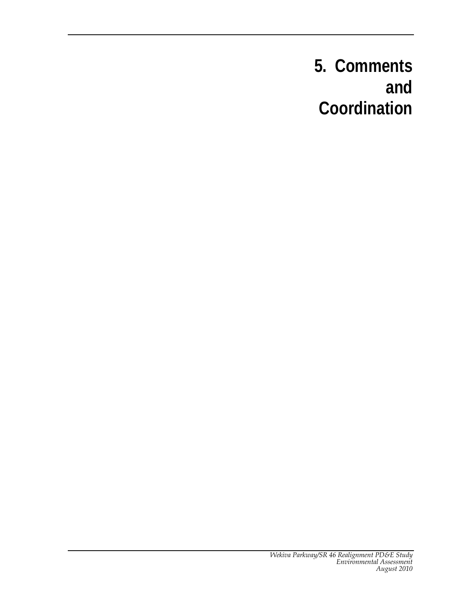# **5. Comments and Coordination**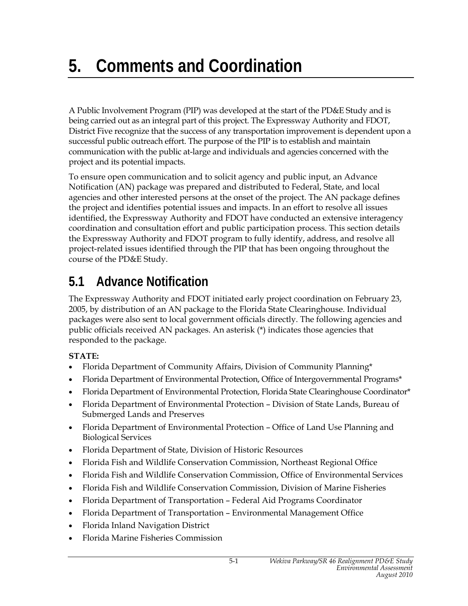A Public Involvement Program (PIP) was developed at the start of the PD&E Study and is being carried out as an integral part of this project. The Expressway Authority and FDOT, District Five recognize that the success of any transportation improvement is dependent upon a successful public outreach effort. The purpose of the PIP is to establish and maintain communication with the public at-large and individuals and agencies concerned with the project and its potential impacts.

To ensure open communication and to solicit agency and public input, an Advance Notification (AN) package was prepared and distributed to Federal, State, and local agencies and other interested persons at the onset of the project. The AN package defines the project and identifies potential issues and impacts. In an effort to resolve all issues identified, the Expressway Authority and FDOT have conducted an extensive interagency coordination and consultation effort and public participation process. This section details the Expressway Authority and FDOT program to fully identify, address, and resolve all project-related issues identified through the PIP that has been ongoing throughout the course of the PD&E Study.

# **5.1 Advance Notification**

The Expressway Authority and FDOT initiated early project coordination on February 23, 2005, by distribution of an AN package to the Florida State Clearinghouse. Individual packages were also sent to local government officials directly. The following agencies and public officials received AN packages. An asterisk (\*) indicates those agencies that responded to the package.

# **STATE:**

- Florida Department of Community Affairs, Division of Community Planning\*
- Florida Department of Environmental Protection, Office of Intergovernmental Programs\*
- Florida Department of Environmental Protection, Florida State Clearinghouse Coordinator\*
- Florida Department of Environmental Protection Division of State Lands, Bureau of Submerged Lands and Preserves
- Florida Department of Environmental Protection Office of Land Use Planning and Biological Services
- Florida Department of State, Division of Historic Resources
- Florida Fish and Wildlife Conservation Commission, Northeast Regional Office
- Florida Fish and Wildlife Conservation Commission, Office of Environmental Services
- Florida Fish and Wildlife Conservation Commission, Division of Marine Fisheries
- Florida Department of Transportation Federal Aid Programs Coordinator
- Florida Department of Transportation Environmental Management Office
- Florida Inland Navigation District
- Florida Marine Fisheries Commission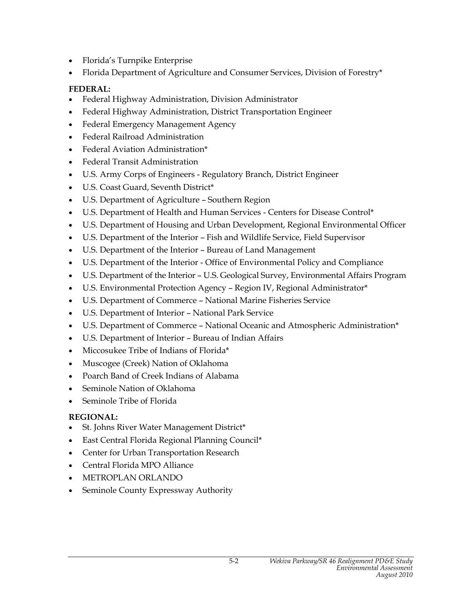- Florida's Turnpike Enterprise
- Florida Department of Agriculture and Consumer Services, Division of Forestry\*

# **FEDERAL:**

- Federal Highway Administration, Division Administrator
- Federal Highway Administration, District Transportation Engineer
- Federal Emergency Management Agency
- Federal Railroad Administration
- Federal Aviation Administration\*
- Federal Transit Administration
- U.S. Army Corps of Engineers Regulatory Branch, District Engineer
- U.S. Coast Guard, Seventh District\*
- U.S. Department of Agriculture Southern Region
- U.S. Department of Health and Human Services Centers for Disease Control\*
- U.S. Department of Housing and Urban Development, Regional Environmental Officer
- U.S. Department of the Interior Fish and Wildlife Service, Field Supervisor
- U.S. Department of the Interior Bureau of Land Management
- U.S. Department of the Interior Office of Environmental Policy and Compliance
- U.S. Department of the Interior U.S. Geological Survey, Environmental Affairs Program
- U.S. Environmental Protection Agency Region IV, Regional Administrator\*
- U.S. Department of Commerce National Marine Fisheries Service
- U.S. Department of Interior National Park Service
- U.S. Department of Commerce National Oceanic and Atmospheric Administration\*
- U.S. Department of Interior Bureau of Indian Affairs
- Miccosukee Tribe of Indians of Florida\*
- Muscogee (Creek) Nation of Oklahoma
- Poarch Band of Creek Indians of Alabama
- Seminole Nation of Oklahoma
- Seminole Tribe of Florida

### **REGIONAL:**

- St. Johns River Water Management District\*
- East Central Florida Regional Planning Council\*
- Center for Urban Transportation Research
- Central Florida MPO Alliance
- METROPLAN ORLANDO
- Seminole County Expressway Authority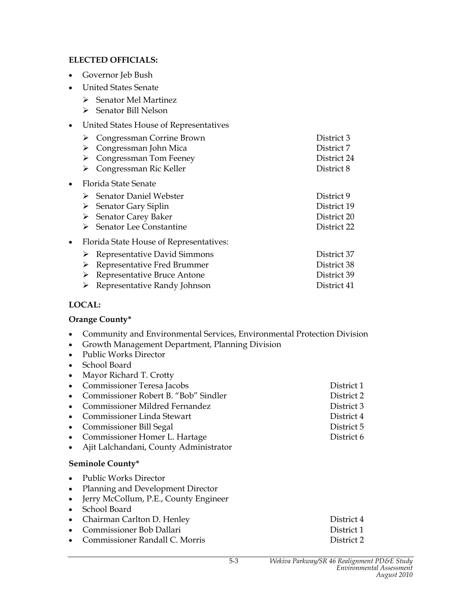#### **ELECTED OFFICIALS:**

- Governor Jeb Bush
- United States Senate
	- $\triangleright$  Senator Mel Martinez
	- ¾ Senator Bill Nelson
- United States House of Representatives
- ¾ Congressman Corrine Brown District 3 ¾ Congressman John Mica District 7 ¾ Congressman Tom Feeney District 24 ¾ Congressman Ric Keller District 8 • Florida State Senate ¾ Senator Daniel Webster District 9 ¾ Senator Gary Siplin District 19 ¾ Senator Carey Baker District 20 ¾ Senator Lee Constantine District 22 • Florida State House of Representatives: ¾ Representative David Simmons District 37 ¾ Representative Fred Brummer District 38 ¾ Representative Bruce Antone District 39
	- ¾ Representative Randy Johnson District 41

#### **LOCAL:**

#### **Orange County\***

- Community and Environmental Services, Environmental Protection Division
- Growth Management Department, Planning Division
- Public Works Director
- School Board
- Mayor Richard T. Crotty
- Commissioner Teresa Jacobs District 1 • Commissioner Robert B. "Bob" Sindler District 2 • Commissioner Mildred Fernandez District 3 • Commissioner Linda Stewart District 4
- Commissioner Bill Segal **District 5**
- Commissioner Homer L. Hartage District 6
- Ajit Lalchandani, County Administrator

#### **Seminole County\***

- Public Works Director
- Planning and Development Director
- Jerry McCollum, P.E., County Engineer
- School Board

|  | • Chairman Carlton D. Henley | District 4 |
|--|------------------------------|------------|
|--|------------------------------|------------|

- Commissioner Bob Dallari District 1
- Commissioner Randall C. Morris District 2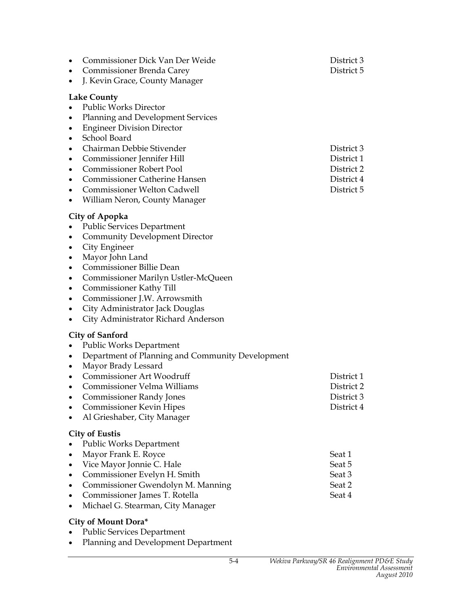| Commissioner Dick Van Der Weide<br>$\bullet$<br>Commissioner Brenda Carey<br>$\bullet$<br>J. Kevin Grace, County Manager<br>$\bullet$                                                                                                                                                                                                                                                                                | District 3<br>District 5                             |
|----------------------------------------------------------------------------------------------------------------------------------------------------------------------------------------------------------------------------------------------------------------------------------------------------------------------------------------------------------------------------------------------------------------------|------------------------------------------------------|
| <b>Lake County</b><br><b>Public Works Director</b><br>$\bullet$<br><b>Planning and Development Services</b><br>$\bullet$<br><b>Engineer Division Director</b><br>٠<br>School Board<br>$\bullet$<br>Chairman Debbie Stivender<br>$\bullet$<br>Commissioner Jennifer Hill<br>$\bullet$<br><b>Commissioner Robert Pool</b><br>$\bullet$<br><b>Commissioner Catherine Hansen</b><br>$\bullet$                            | District 3<br>District 1<br>District 2<br>District 4 |
| Commissioner Welton Cadwell<br>٠<br>William Neron, County Manager<br>$\bullet$                                                                                                                                                                                                                                                                                                                                       | District 5                                           |
| City of Apopka<br><b>Public Services Department</b><br><b>Community Development Director</b><br>٠<br>City Engineer<br>٠<br>Mayor John Land<br>٠<br><b>Commissioner Billie Dean</b><br>٠<br>Commissioner Marilyn Ustler-McQueen<br>٠<br>Commissioner Kathy Till<br>$\bullet$<br>Commissioner J.W. Arrowsmith<br>$\bullet$<br>City Administrator Jack Douglas<br>٠<br>City Administrator Richard Anderson<br>$\bullet$ |                                                      |
| <b>City of Sanford</b><br><b>Public Works Department</b><br>Department of Planning and Community Development<br>$\bullet$<br>Mayor Brady Lessard<br>$\bullet$<br>Commissioner Art Woodruff<br>٠<br>Commissioner Velma Williams<br>$\bullet$<br><b>Commissioner Randy Jones</b><br><b>Commissioner Kevin Hipes</b><br>Al Grieshaber, City Manager<br>$\bullet$                                                        | District 1<br>District 2<br>District 3<br>District 4 |
| <b>City of Eustis</b><br><b>Public Works Department</b><br>Mayor Frank E. Royce<br>٠<br>Vice Mayor Jonnie C. Hale<br>٠<br>Commissioner Evelyn H. Smith<br>$\bullet$<br>Commissioner Gwendolyn M. Manning<br>$\bullet$<br>Commissioner James T. Rotella<br>$\bullet$<br>Michael G. Stearman, City Manager<br>$\bullet$<br>City of Mount Dora*                                                                         | Seat 1<br>Seat 5<br>Seat 3<br>Seat 2<br>Seat 4       |
| <b>Public Services Department</b>                                                                                                                                                                                                                                                                                                                                                                                    |                                                      |

• Planning and Development Department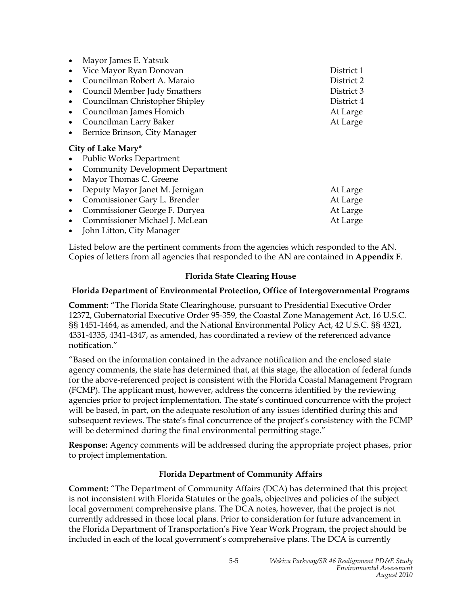|                    | Mayor James E. Yatsuk                   |            |  |
|--------------------|-----------------------------------------|------------|--|
|                    | Vice Mayor Ryan Donovan                 | District 1 |  |
|                    | Councilman Robert A. Maraio             | District 2 |  |
|                    | Council Member Judy Smathers            | District 3 |  |
|                    | Councilman Christopher Shipley          | District 4 |  |
|                    | Councilman James Homich                 | At Large   |  |
| $\bullet$          | Councilman Larry Baker                  | At Large   |  |
|                    | Bernice Brinson, City Manager           |            |  |
| City of Lake Mary* |                                         |            |  |
|                    | <b>Public Works Department</b>          |            |  |
|                    | <b>Community Development Department</b> |            |  |
| $\bullet$          | Mayor Thomas C. Greene                  |            |  |
|                    | Deputy Mayor Janet M. Jernigan          | At Large   |  |
| $\bullet$          | Commissioner Gary L. Brender            | At Large   |  |
| $\bullet$          | Commissioner George F. Duryea           | At Large   |  |
|                    | Commissioner Michael J. McLean          | At Large   |  |
|                    | John Litton, City Manager               |            |  |

Listed below are the pertinent comments from the agencies which responded to the AN. Copies of letters from all agencies that responded to the AN are contained in **Appendix F**.

#### **Florida State Clearing House**

#### **Florida Department of Environmental Protection, Office of Intergovernmental Programs**

**Comment:** "The Florida State Clearinghouse, pursuant to Presidential Executive Order 12372, Gubernatorial Executive Order 95-359, the Coastal Zone Management Act, 16 U.S.C. §§ 1451-1464, as amended, and the National Environmental Policy Act, 42 U.S.C. §§ 4321, 4331-4335, 4341-4347, as amended, has coordinated a review of the referenced advance notification."

"Based on the information contained in the advance notification and the enclosed state agency comments, the state has determined that, at this stage, the allocation of federal funds for the above-referenced project is consistent with the Florida Coastal Management Program (FCMP). The applicant must, however, address the concerns identified by the reviewing agencies prior to project implementation. The state's continued concurrence with the project will be based, in part, on the adequate resolution of any issues identified during this and subsequent reviews. The state's final concurrence of the project's consistency with the FCMP will be determined during the final environmental permitting stage."

**Response:** Agency comments will be addressed during the appropriate project phases, prior to project implementation.

#### **Florida Department of Community Affairs**

**Comment:** "The Department of Community Affairs (DCA) has determined that this project is not inconsistent with Florida Statutes or the goals, objectives and policies of the subject local government comprehensive plans. The DCA notes, however, that the project is not currently addressed in those local plans. Prior to consideration for future advancement in the Florida Department of Transportation's Five Year Work Program, the project should be included in each of the local government's comprehensive plans. The DCA is currently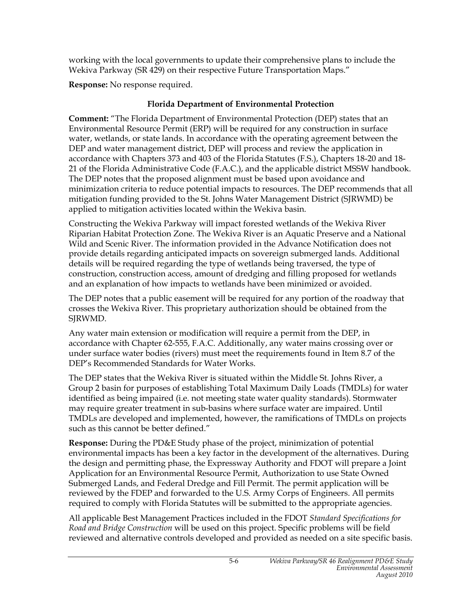working with the local governments to update their comprehensive plans to include the Wekiva Parkway (SR 429) on their respective Future Transportation Maps."

**Response:** No response required.

# **Florida Department of Environmental Protection**

**Comment:** "The Florida Department of Environmental Protection (DEP) states that an Environmental Resource Permit (ERP) will be required for any construction in surface water, wetlands, or state lands. In accordance with the operating agreement between the DEP and water management district, DEP will process and review the application in accordance with Chapters 373 and 403 of the Florida Statutes (F.S.), Chapters 18-20 and 18- 21 of the Florida Administrative Code (F.A.C.), and the applicable district MSSW handbook. The DEP notes that the proposed alignment must be based upon avoidance and minimization criteria to reduce potential impacts to resources. The DEP recommends that all mitigation funding provided to the St. Johns Water Management District (SJRWMD) be applied to mitigation activities located within the Wekiva basin.

Constructing the Wekiva Parkway will impact forested wetlands of the Wekiva River Riparian Habitat Protection Zone. The Wekiva River is an Aquatic Preserve and a National Wild and Scenic River. The information provided in the Advance Notification does not provide details regarding anticipated impacts on sovereign submerged lands. Additional details will be required regarding the type of wetlands being traversed, the type of construction, construction access, amount of dredging and filling proposed for wetlands and an explanation of how impacts to wetlands have been minimized or avoided.

The DEP notes that a public easement will be required for any portion of the roadway that crosses the Wekiva River. This proprietary authorization should be obtained from the SJRWMD.

Any water main extension or modification will require a permit from the DEP, in accordance with Chapter 62-555, F.A.C. Additionally, any water mains crossing over or under surface water bodies (rivers) must meet the requirements found in Item 8.7 of the DEP's Recommended Standards for Water Works.

The DEP states that the Wekiva River is situated within the Middle St. Johns River, a Group 2 basin for purposes of establishing Total Maximum Daily Loads (TMDLs) for water identified as being impaired (i.e. not meeting state water quality standards). Stormwater may require greater treatment in sub-basins where surface water are impaired. Until TMDLs are developed and implemented, however, the ramifications of TMDLs on projects such as this cannot be better defined."

**Response:** During the PD&E Study phase of the project, minimization of potential environmental impacts has been a key factor in the development of the alternatives. During the design and permitting phase, the Expressway Authority and FDOT will prepare a Joint Application for an Environmental Resource Permit, Authorization to use State Owned Submerged Lands, and Federal Dredge and Fill Permit. The permit application will be reviewed by the FDEP and forwarded to the U.S. Army Corps of Engineers. All permits required to comply with Florida Statutes will be submitted to the appropriate agencies.

All applicable Best Management Practices included in the FDOT *Standard Specifications for Road and Bridge Construction* will be used on this project. Specific problems will be field reviewed and alternative controls developed and provided as needed on a site specific basis.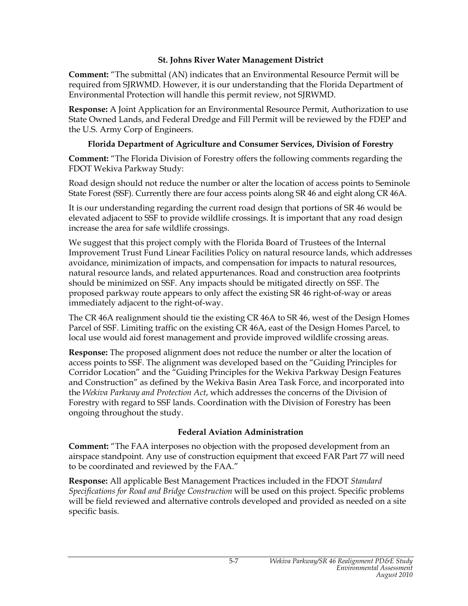#### **St. Johns River Water Management District**

**Comment:** "The submittal (AN) indicates that an Environmental Resource Permit will be required from SJRWMD. However, it is our understanding that the Florida Department of Environmental Protection will handle this permit review, not SJRWMD.

**Response:** A Joint Application for an Environmental Resource Permit, Authorization to use State Owned Lands, and Federal Dredge and Fill Permit will be reviewed by the FDEP and the U.S. Army Corp of Engineers.

#### **Florida Department of Agriculture and Consumer Services, Division of Forestry**

**Comment:** "The Florida Division of Forestry offers the following comments regarding the FDOT Wekiva Parkway Study:

Road design should not reduce the number or alter the location of access points to Seminole State Forest (SSF). Currently there are four access points along SR 46 and eight along CR 46A.

It is our understanding regarding the current road design that portions of SR 46 would be elevated adjacent to SSF to provide wildlife crossings. It is important that any road design increase the area for safe wildlife crossings.

We suggest that this project comply with the Florida Board of Trustees of the Internal Improvement Trust Fund Linear Facilities Policy on natural resource lands, which addresses avoidance, minimization of impacts, and compensation for impacts to natural resources, natural resource lands, and related appurtenances. Road and construction area footprints should be minimized on SSF. Any impacts should be mitigated directly on SSF. The proposed parkway route appears to only affect the existing SR 46 right-of-way or areas immediately adjacent to the right-of-way.

The CR 46A realignment should tie the existing CR 46A to SR 46, west of the Design Homes Parcel of SSF. Limiting traffic on the existing CR 46A, east of the Design Homes Parcel, to local use would aid forest management and provide improved wildlife crossing areas.

**Response:** The proposed alignment does not reduce the number or alter the location of access points to SSF. The alignment was developed based on the "Guiding Principles for Corridor Location" and the "Guiding Principles for the Wekiva Parkway Design Features and Construction" as defined by the Wekiva Basin Area Task Force, and incorporated into the *Wekiva Parkway and Protection Act*, which addresses the concerns of the Division of Forestry with regard to SSF lands. Coordination with the Division of Forestry has been ongoing throughout the study.

#### **Federal Aviation Administration**

**Comment:** "The FAA interposes no objection with the proposed development from an airspace standpoint. Any use of construction equipment that exceed FAR Part 77 will need to be coordinated and reviewed by the FAA."

**Response:** All applicable Best Management Practices included in the FDOT *Standard Specifications for Road and Bridge Construction* will be used on this project. Specific problems will be field reviewed and alternative controls developed and provided as needed on a site specific basis.